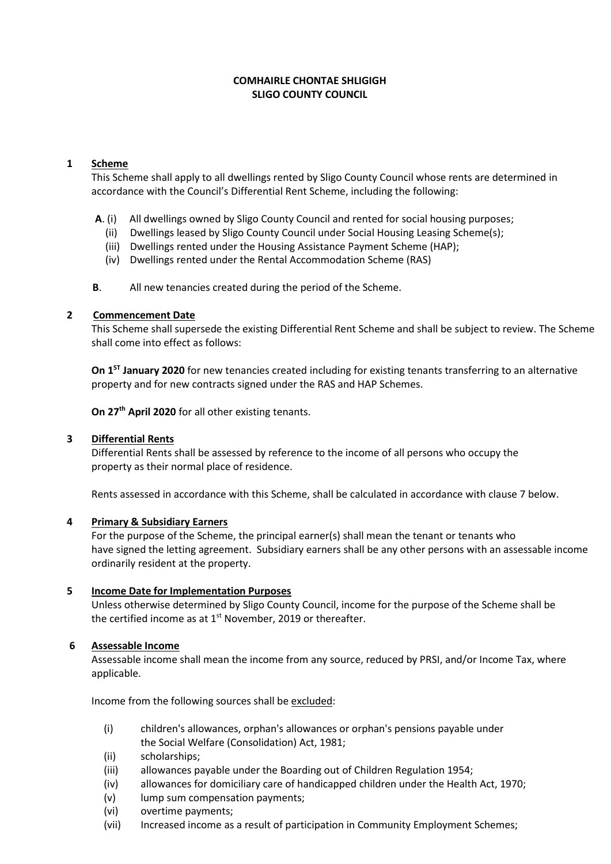### **COMHAIRLE CHONTAE SHLIGIGH SLIGO COUNTY COUNCIL**

## **1 Scheme**

This Scheme shall apply to all dwellings rented by Sligo County Council whose rents are determined in accordance with the Council's Differential Rent Scheme, including the following:

- **A**. (i) All dwellings owned by Sligo County Council and rented for social housing purposes;
	- (ii) Dwellings leased by Sligo County Council under Social Housing Leasing Scheme(s);
	- (iii) Dwellings rented under the Housing Assistance Payment Scheme (HAP);
	- (iv) Dwellings rented under the Rental Accommodation Scheme (RAS)

**B**. All new tenancies created during the period of the Scheme.

### **2 Commencement Date**

This Scheme shall supersede the existing Differential Rent Scheme and shall be subject to review. The Scheme shall come into effect as follows:

**On 1ST January 2020** for new tenancies created including for existing tenants transferring to an alternative property and for new contracts signed under the RAS and HAP Schemes.

**On 27th April 2020** for all other existing tenants.

#### **3 Differential Rents**

Differential Rents shall be assessed by reference to the income of all persons who occupy the property as their normal place of residence.

Rents assessed in accordance with this Scheme, shall be calculated in accordance with clause 7 below.

#### **4 Primary & Subsidiary Earners**

For the purpose of the Scheme, the principal earner(s) shall mean the tenant or tenants who have signed the letting agreement. Subsidiary earners shall be any other persons with an assessable income ordinarily resident at the property.

#### **5 Income Date for Implementation Purposes**

Unless otherwise determined by Sligo County Council, income for the purpose of the Scheme shall be the certified income as at 1<sup>st</sup> November, 2019 or thereafter.

# **6 Assessable Income**

Assessable income shall mean the income from any source, reduced by PRSI, and/or Income Tax, where applicable.

Income from the following sources shall be excluded:

- (i) children's allowances, orphan's allowances or orphan's pensions payable under the Social Welfare (Consolidation) Act, 1981;
- (ii) scholarships;
- (iii) allowances payable under the Boarding out of Children Regulation 1954;
- (iv) allowances for domiciliary care of handicapped children under the Health Act, 1970;
- (v) lump sum compensation payments;
- (vi) overtime payments;
- (vii) Increased income as a result of participation in Community Employment Schemes;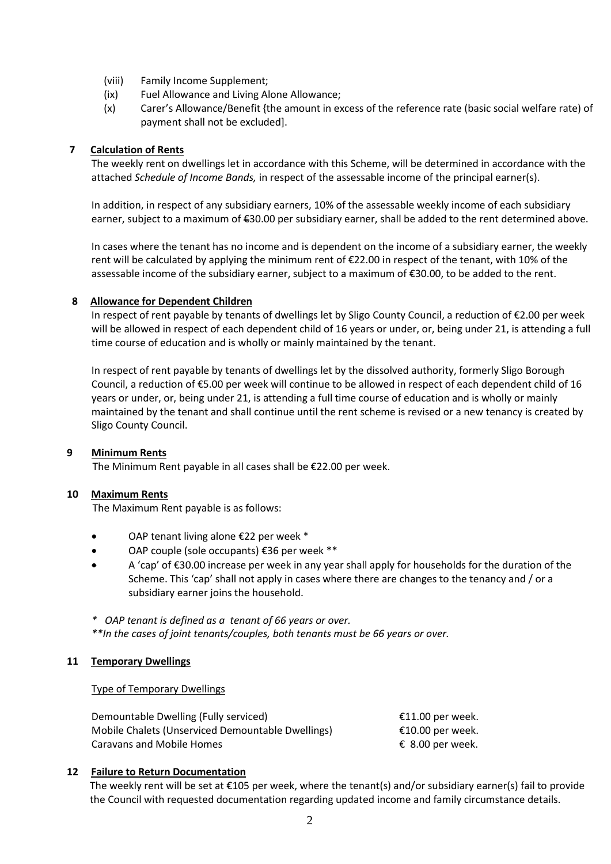- (viii) Family Income Supplement;
- (ix) Fuel Allowance and Living Alone Allowance;
- (x) Carer's Allowance/Benefit {the amount in excess of the reference rate (basic social welfare rate) of payment shall not be excluded].

### **7 Calculation of Rents**

The weekly rent on dwellings let in accordance with this Scheme, will be determined in accordance with the attached *Schedule of Income Bands,* in respect of the assessable income of the principal earner(s).

In addition, in respect of any subsidiary earners, 10% of the assessable weekly income of each subsidiary earner, subject to a maximum of €30.00 per subsidiary earner, shall be added to the rent determined above.

In cases where the tenant has no income and is dependent on the income of a subsidiary earner, the weekly rent will be calculated by applying the minimum rent of €22.00 in respect of the tenant, with 10% of the assessable income of the subsidiary earner, subject to a maximum of €30.00, to be added to the rent.

### **8 Allowance for Dependent Children**

In respect of rent payable by tenants of dwellings let by Sligo County Council, a reduction of €2.00 per week will be allowed in respect of each dependent child of 16 years or under, or, being under 21, is attending a full time course of education and is wholly or mainly maintained by the tenant.

In respect of rent payable by tenants of dwellings let by the dissolved authority, formerly Sligo Borough Council, a reduction of €5.00 per week will continue to be allowed in respect of each dependent child of 16 years or under, or, being under 21, is attending a full time course of education and is wholly or mainly maintained by the tenant and shall continue until the rent scheme is revised or a new tenancy is created by Sligo County Council.

#### **9 Minimum Rents**

The Minimum Rent payable in all cases shall be €22.00 per week.

#### **10 Maximum Rents**

The Maximum Rent payable is as follows:

- OAP tenant living alone €22 per week \*
- OAP couple (sole occupants) €36 per week \*\*
- A 'cap' of €30.00 increase per week in any year shall apply for households for the duration of the Scheme. This 'cap' shall not apply in cases where there are changes to the tenancy and / or a subsidiary earner joins the household.
- *\* OAP tenant is defined as a tenant of 66 years or over.*

*\*\*In the cases of joint tenants/couples, both tenants must be 66 years or over.*

#### **11 Temporary Dwellings**

#### Type of Temporary Dwellings

| Demountable Dwelling (Fully serviced)             | €11.00 per week. |
|---------------------------------------------------|------------------|
| Mobile Chalets (Unserviced Demountable Dwellings) | €10.00 per week. |
| Caravans and Mobile Homes                         | € 8.00 per week. |

# **12 Failure to Return Documentation**

 The weekly rent will be set at €105 per week, where the tenant(s) and/or subsidiary earner(s) fail to provide the Council with requested documentation regarding updated income and family circumstance details.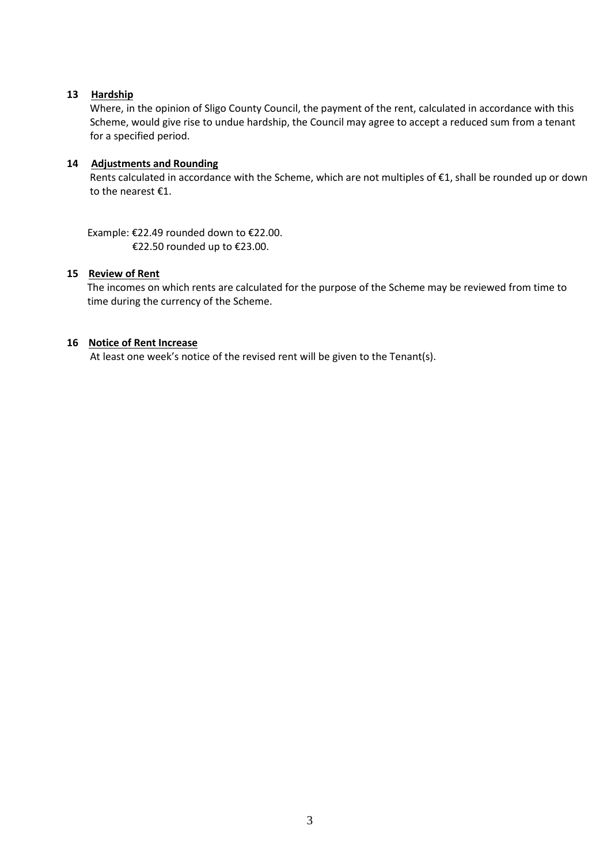### **13 Hardship**

 Where, in the opinion of Sligo County Council, the payment of the rent, calculated in accordance with this Scheme, would give rise to undue hardship, the Council may agree to accept a reduced sum from a tenant for a specified period.

### **14 Adjustments and Rounding**

 Rents calculated in accordance with the Scheme, which are not multiples of €1, shall be rounded up or down to the nearest €1.

 Example: €22.49 rounded down to €22.00. €22.50 rounded up to €23.00.

#### **15 Review of Rent**

The incomes on which rents are calculated for the purpose of the Scheme may be reviewed from time to time during the currency of the Scheme.

### **16 Notice of Rent Increase**

At least one week's notice of the revised rent will be given to the Tenant(s).